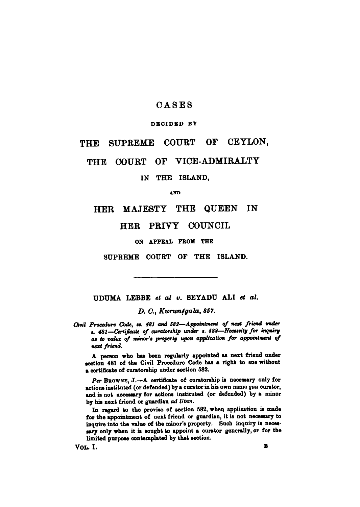### **CASE S**

### **DECIDED BY**

## THE SUPREME COURT OF CEYLON,

# THE COURT OF VICE-ADMIRALTY

**IN THE ISLAND,** 

**AND** 

## **H E R MAJEST Y TH E QUEE N I N**

### **HER PRIVY COUNCIL**

**ON APPEAL PROM THE** 

**SUPREME COURT OF THE ISLAND.** 

**UDUM A LEBB E** *et al v.* **SEYAD U AL I** *et at.* 

*D. 0., Kurun4gala, 857.* 

*Civil Procedure Code, ss. 481 and 582***—***Appointment of next friend under*  **t.** *481***—***Certificate of curatorship under s. 582***—***Security for inquiry at to value of minor's property upon application for appointment of next friend.* 

A person who has been regularly appointed as next friend under **section 481 of the Civil Procedure Code has a right to sue without a certificate of curatorship under section 582.** 

*Per* **BROWNE, J.— A certificate of curatorship is necessary only for actions instituted (or defended) by a curator in his own name** *qua* **curator, and is not necessary for actions instituted (or defended) by a minor by his next friend or guardian** *ad litem.* 

**In regard to the proviso of section 582, when application is made for the appointment of next friend or guardian, it is not necessary to inquire into the value of the minor's property. Such inquiry is necessary only when it is sought to appoint a curator generally, or for the limited purpose contemplated by that section.** 

**VOL. I. B**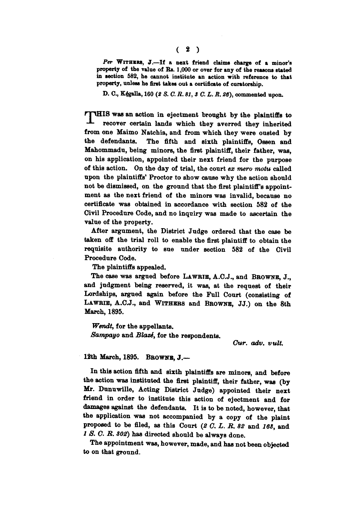*Per* **WITHERS , J.—If a next friend claims charge of a minor's property of the value of** Rs. **1,000 or over for any of the reasons stated in section 582, he cannot institute an action with reference to that property, unless he first takes out a certificate of curatorship.** 

**D. C , Kejgalla, 160** *(2 S. C. R.81,3 C. L. R. 26),* **commented upon.** 

**ITHIS** was an action in ejectment brought by the plaintiffs to **recover certain lands which they averred they inherited from one Maimo Natchia, and from which they were ousted by the defendants. The fifth and sixth plaintiffs, Ossen and Mahommadu, being minors, the first plaintiff, their father, was, on his application, appointed their next friend for the purpose of this action. On the day of trial, the court** *ex mero motu* **called upon the plaintiffs' Proctor to show cause why the action should not be dismissed, on the ground that the first plaintiff's appointment as the next friend of the minors was invalid, because no certificate was obtained in accordance with section 582 of the Civil Procedure Code, and no inquiry was made to ascertain the value of the property.** 

**After argument, the District Judge ordered that the case be taken off the trial roll to enable the first plaintiff to obtain the requisite authority to sue under section 582 of the Civil Procedure Code.** 

**The plaintiffs appealed.** 

**The case was argued before LAWRIE, A.C.J., and BROWNE, J., and judgment being reserved, it was, at the request of their Lordships, argued again before the Full Court (consisting of LAWRIE, A.C.J., and WITHERS and BROWNE, JJ.) on the 8th March, 1895.** 

*Wendt,* **for the appellants.**  *Sampayo* **and** *Blazd,* **for the respondents.** 

*Cur. adv. vult.* 

**12th March, 1895. BROWNE, J.—** 

**In this action fifth and sixth plaintiffs are minors, and before the action was instituted the first plaintiff, their father, was (by Mr. Dunuwille, Acting District Judge) appointed their next friend in order to institute this action of ejectment and for damages against the defendants. It is to be noted, however, that the application was not accompanied by a copy of the plaint proposed to be filed, as this Court** *(2 C. L. B. 82* **and** *168,* **and**  *1 S. C. B. 802)* **has directed should be always done.** 

**The appointment was, however, made, and has not been objected to on that ground.**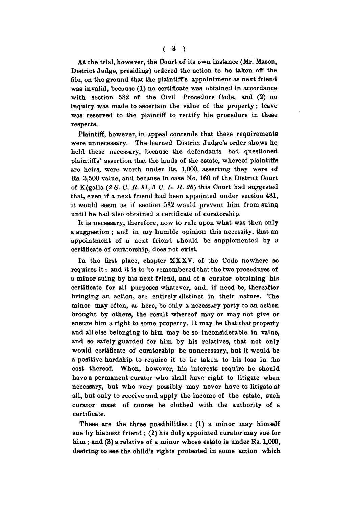**At the trial, however, the Court of its own instance (Mr. Mason, District Judge, presiding) ordered the action to be taken off the file, on the ground that the plaintiff's appointment as next friend was invalid, because (1) no certificate was obtained in accordance with section 582 of the Civil Procedure Code, and (2) no inquiry was made to ascertain the value of the property; leave was reserved to the plaintiff to rectify his procedure in these respects.** 

**Plaintiff, however, in appeal contends that these requirements were unnecessary. The learned District Judge's order shows he held these necessary, because the defendants had questioned plaintiffs' assertion that the lands of the estate, whereof plaintiffs are heirs, were worth under Rs. 1,000, asserting they were of Rs. 3,500 value, and because in case No. 160 of the District Court of Kfealla** *(2S. O. R.81,3 C. L. R. 26)* **this Court had suggested that, even if a next friend had been appointed under section 481, it would seem as if section 582 would prevent him from suing until he had also obtained a certificate of cnratorship.** 

**It is necessary, therefore, now to rule upon what was then only a suggestion ; and in my humble opinion this necessity, that an appointment of a next friend should be supplemented by a certificate of curatorship, does not exist.** 

**In the first place, chapter XXXV. of the Code nowhere so requires it; and it is to be remembered that the two procedures of a minor suing by his next friend, and of a curator obtaining his certificate for all purposes whatever, and, if need be, thereafter bringing an action, are entirely distinct in their nature. The minor may often, as here, be only a necessary party to an action brought by others, the result whereof may or may not give or ensure him a right to some property. It may be that that property and all else belonging to him may be so inconsiderable in val ue, and so safely guarded for him by his relatives, that not only would certificate of curatorship be unnecessary, but it would be a positive hardship to require it to be taken to his loss in the cost thereof. When, however, his interests require he should have a permanent curator who shall have right to litigate when necessary, but who very possibly may never have to litigate at all, but only to receive and apply the income of the estate, such curator must of course be clothed with the authority of a certificate.** 

**These are the three possibilities : (1) a minor may himself sue by his next friend ; (2) his duly appointed curator may sue for him; and (3) a relative of a minor whose estate is under Rs. 1,000, desiring to see the child's rights protected in some action which**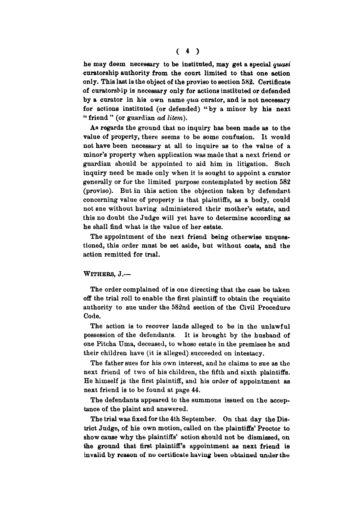**he may deem necessary to be instituted, may get a special** *quasi*  **curatorship authority from the court limited to that one action only. This last is the object of the proviso to section 582. Certificate of curatorship is necessary only for actions instituted or defended by a curator in his own name** *qua* **curator, and is not necessary for actions instituted (or defended) "by a minor by his next " friend " (or guardian** *ad litem).* 

**As regards the ground that no inquiry has been made as to the value of property, there seems to be some confusion. It would not have been necessary at all to inquire as to the value of a minor's property when application was made that a next friend or guardian should be appointed to aid him in litigation. Such inquiry need be made only when it is sought to appoint a curator generally or for the limited purpose contemplated by section 582 (proviso). But in this action the objection taken by defendant concerning value of property is that plaintiffs, as a body, could not sue without having administered their mother's estate, and this no doubt the Judge will yet have to determine according as he shall find what is the value of her estate.** 

**The appointment of the next friend being otherwise unquestioned, this order must be set aside, but without costs, and the action remitted for trial.** 

#### **WITHERS, J.—**

**The order complained of is one directing that the case be taken off the trial roll to enable the first plaintiff to obtain the requisite authority to sue under the 582nd section of the Civil Procedure Code.** 

**The action is to recover lands alleged to be in the unlawful possession of the defendants. It is brought by the husband of one Pitcha Uma, deceased, to whose estate in the premises he and their children have (it is alleged) succeeded on intestacy.** 

**The father sues for his own interest, and he claims to sue as the next friend of two of his children, the fifth and sixth plaintiffs. He himself js the first plaintiff, and his order of appointment as next friend is to be found at page 44.** 

**The defendants appeared to the summons issued on the acceptance of the plaint and answered.** 

**The trial was fixed for the 4th September. On that day the District Judge, of his own motion, called on the plaintiffs' Proctor to show cause why the plaintiffs' action should not be dismissed, on the ground that first plaintiff's appointment as next friend is invalid by reason of no certificate having been obtained under the**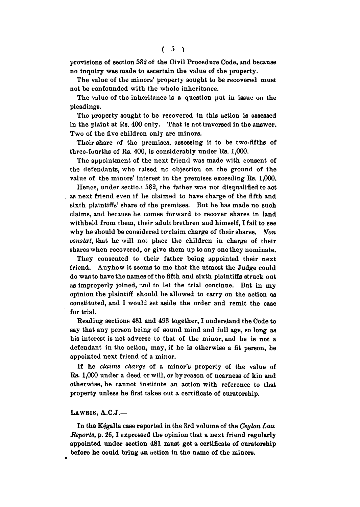provisions of section 582 of the Civil Procedure Code, and because **no inquiry was made to ascertain the value of the property.** 

**The value of the minors' property sought to be recovered must not be confounded with the whole inheritance.** 

**The value of the inheritance is a question pat in issue on the pleadings.** 

**The property sought to be recovered in this action is assessed in the plaint at Rs. 400 only. That is not traversed in the answer. Two of the five children only are minors.** 

**Their share of the premises, assessing it to be two-fifths of three-fourths of Rs. 400, is considerably under Rs. 1,000.** 

**The appointment of the next friend was made with consent of the defendants, who raised no objection on the ground of the value of the minors' interest in the premises exceeding Rs. 1,000.** 

**Hence, under section 582, the father was not disqualified to act as next friend even if he claimed to have charge of the fifth and sixth plaintiffs' share of the premises. But he has made no such claims, and because he comes forward to recover shares in land withheld from them, their adult brethren and himself, I fail to see**  why he should be considered to claim charge of their shares. Non *constat,* **that he will not place the children in charge of their shares when recovered, or give them up to any one they nominate.** 

**They consented to their father being appointed their next friend. Anyhow it seems to me that the utmost the Judge could do was to have the names of the fifth and sixth plaintiffs struck out**  as improperly joined, and to let the trial continue. But in my **opinion the plaintiff should be allowed to carry on the action 98 constituted, and I would set aside the order and remit the case for trial.** 

**Reading sections 481 and 493 together, I understand the Code to say that any person being of sound mind and full age, so long as his interest is not adverse to that of the minor, and he is not a defendant in the action, may, if he is otherwise a fit person, be appointed next friend of a minor.** 

**If he** *claims charge* **of a minor's property of the value of Rs. 1,000 under a deed or will, or by reason of nearness of kin and otherwise, he cannot institute an action with reference to that property unless he first takes out a certificate of curatorship.** 

#### **LAWRIB, A.C.J.—**

**In the K^galla case reported in the 3rd volume of the** *Ceylon Lau Reports,* **p. 26,1 expressed the opinion that a next friend regularly appointed under section 481 must get a certificate of curatorship before he could bring an action in the name of the minors.**